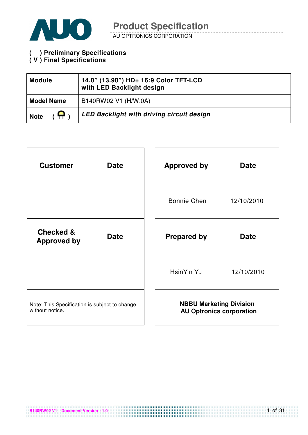

AU OPTRONICS CORPORATION

**( V ) Preliminary Specifications** 

#### **( V ) Final Specifications**

| <b>Module</b>                 | 14.0" (13.98") HD+ 16:9 Color TFT-LCD<br>with LED Backlight design |
|-------------------------------|--------------------------------------------------------------------|
| <b>Model Name</b>             | B140RW02 V1 (H/W:0A)                                               |
| $\blacksquare$<br><b>Note</b> | <b>LED Backlight with driving circuit design</b>                   |

| <b>Customer</b>                                                  | <b>Date</b> | <b>Approved by</b> | <b>Date</b>                                                       |
|------------------------------------------------------------------|-------------|--------------------|-------------------------------------------------------------------|
|                                                                  |             | <b>Bonnie Chen</b> | 12/10/2010                                                        |
| <b>Checked &amp;</b><br><b>Approved by</b>                       | <b>Date</b> | <b>Prepared by</b> | <b>Date</b>                                                       |
|                                                                  |             | HsinYin Yu         | 12/10/2010                                                        |
| Note: This Specification is subject to change<br>without notice. |             |                    | <b>NBBU Marketing Division</b><br><b>AU Optronics corporation</b> |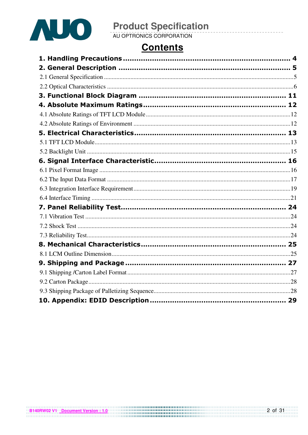

# **Contents**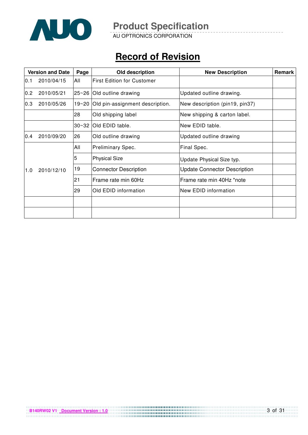

AU OPTRONICS CORPORATION

# **Record of Revision**

|     | <b>Version and Date</b> | Page      | Old description                       | <b>New Description</b>              | Remark |
|-----|-------------------------|-----------|---------------------------------------|-------------------------------------|--------|
| 0.1 | 2010/04/15              | All       | <b>First Edition for Customer</b>     |                                     |        |
| 0.2 | 2010/05/21              |           | 25~26 Old outline drawing             | Updated outline drawing.            |        |
| 0.3 | 2010/05/26              |           | 19~20 Old pin-assignment description. | New description (pin19, pin37)      |        |
|     |                         | 28        | Old shipping label                    | New shipping & carton label.        |        |
|     |                         | $30 - 32$ | Old EDID table.                       | New EDID table.                     |        |
| 0.4 | 2010/09/20              | 26        | Old outline drawing                   | Updated outline drawing             |        |
|     |                         | All       | Preliminary Spec.                     | Final Spec.                         |        |
|     |                         | 5         | <b>Physical Size</b>                  | Update Physical Size typ.           |        |
| 1.0 | 2010/12/10              | 19        | <b>Connector Description</b>          | <b>Update Connector Description</b> |        |
|     |                         | 21        | Frame rate min 60Hz                   | Frame rate min 40Hz *note           |        |
|     |                         | 29        | Old EDID information                  | New EDID information                |        |
|     |                         |           |                                       |                                     |        |
|     |                         |           |                                       |                                     |        |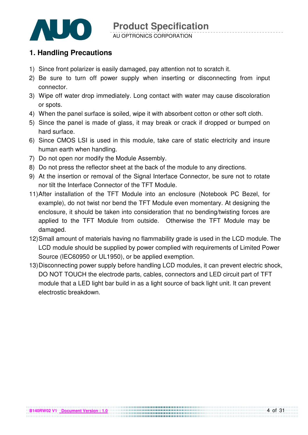

### **1. Handling Precautions**

- 1) Since front polarizer is easily damaged, pay attention not to scratch it.
- 2) Be sure to turn off power supply when inserting or disconnecting from input connector.
- 3) Wipe off water drop immediately. Long contact with water may cause discoloration or spots.
- 4) When the panel surface is soiled, wipe it with absorbent cotton or other soft cloth.
- 5) Since the panel is made of glass, it may break or crack if dropped or bumped on hard surface.
- 6) Since CMOS LSI is used in this module, take care of static electricity and insure human earth when handling.
- 7) Do not open nor modify the Module Assembly.
- 8) Do not press the reflector sheet at the back of the module to any directions.
- 9) At the insertion or removal of the Signal Interface Connector, be sure not to rotate nor tilt the Interface Connector of the TFT Module.
- 11) After installation of the TFT Module into an enclosure (Notebook PC Bezel, for example), do not twist nor bend the TFT Module even momentary. At designing the enclosure, it should be taken into consideration that no bending/twisting forces are applied to the TFT Module from outside. Otherwise the TFT Module may be damaged.
- 12) Small amount of materials having no flammability grade is used in the LCD module. The LCD module should be supplied by power complied with requirements of Limited Power Source (IEC60950 or UL1950), or be applied exemption.
- 13) Disconnecting power supply before handling LCD modules, it can prevent electric shock, DO NOT TOUCH the electrode parts, cables, connectors and LED circuit part of TFT module that a LED light bar build in as a light source of back light unit. It can prevent electrostic breakdown.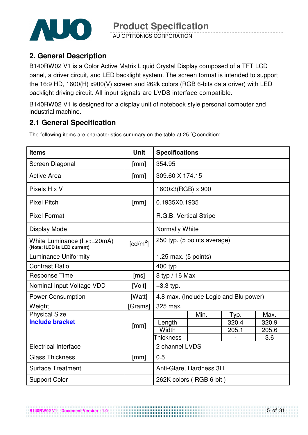

AU OPTRONICS CORPORATION

## **2. General Description**

B140RW02 V1 is a Color Active Matrix Liquid Crystal Display composed of a TFT LCD panel, a driver circuit, and LED backlight system. The screen format is intended to support the 16:9 HD, 1600(H) x900(V) screen and 262k colors (RGB 6-bits data driver) with LED backlight driving circuit. All input signals are LVDS interface compatible.

B140RW02 V1 is designed for a display unit of notebook style personal computer and industrial machine.

# **2.1 General Specification**

The following items are characteristics summary on the table at 25 °C condition:

| <b>Items</b>                                               | <b>Unit</b>          | <b>Specifications</b>          |                                        |       |       |  |
|------------------------------------------------------------|----------------------|--------------------------------|----------------------------------------|-------|-------|--|
| Screen Diagonal                                            | [mm]                 | 354.95                         |                                        |       |       |  |
| <b>Active Area</b>                                         | [mm]                 | 309.60 X 174.15                |                                        |       |       |  |
| Pixels H x V                                               |                      | 1600x3(RGB) x 900              |                                        |       |       |  |
| <b>Pixel Pitch</b>                                         | [mm]                 | 0.1935X0.1935                  |                                        |       |       |  |
| <b>Pixel Format</b>                                        |                      | R.G.B. Vertical Stripe         |                                        |       |       |  |
| Display Mode                                               |                      | <b>Normally White</b>          |                                        |       |       |  |
| White Luminance (ILED=20mA)<br>(Note: ILED is LED current) | [cd/m <sup>2</sup> ] | 250 typ. (5 points average)    |                                        |       |       |  |
| <b>Luminance Uniformity</b>                                |                      | 1.25 max. $(5 \text{ points})$ |                                        |       |       |  |
| <b>Contrast Ratio</b>                                      |                      | 400 typ                        |                                        |       |       |  |
| <b>Response Time</b>                                       | [ms]                 | 8 typ / 16 Max                 |                                        |       |       |  |
| Nominal Input Voltage VDD                                  | [Volt]               | $+3.3$ typ.                    |                                        |       |       |  |
| <b>Power Consumption</b>                                   | [Watt]               |                                | 4.8 max. (Include Logic and Blu power) |       |       |  |
| Weight                                                     | [Grams]              | 325 max.                       |                                        |       |       |  |
| <b>Physical Size</b>                                       |                      |                                | Min.                                   | Typ.  | Max.  |  |
| <b>Include bracket</b>                                     | [mm]                 | Length                         |                                        | 320.4 | 320.9 |  |
|                                                            |                      | Width                          |                                        | 205.1 | 205.6 |  |
|                                                            |                      | <b>Thickness</b>               |                                        |       | 3.6   |  |
| <b>Electrical Interface</b>                                |                      | 2 channel LVDS                 |                                        |       |       |  |
| <b>Glass Thickness</b>                                     | [mm]                 | 0.5                            |                                        |       |       |  |
| <b>Surface Treatment</b>                                   |                      | Anti-Glare, Hardness 3H,       |                                        |       |       |  |
| <b>Support Color</b>                                       |                      |                                | 262K colors (RGB 6-bit)                |       |       |  |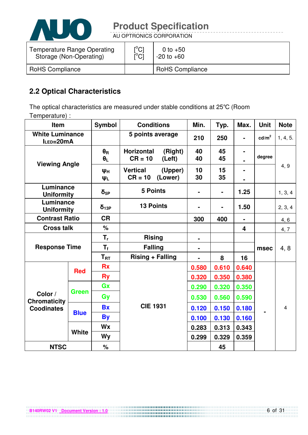

AU OPTRONICS CORPORATION

| Temperature Range Operating | $\mathop{\rm l\hspace{0.05cm}}\nolimits^{\circ}$ Cl | 0 to $+50$             |
|-----------------------------|-----------------------------------------------------|------------------------|
| Storage (Non-Operating)     | ΰCĪ                                                 | $-20$ to $+60$         |
| <b>RoHS Compliance</b>      |                                                     | <b>RoHS Compliance</b> |

# **2.2 Optical Characteristics**

The optical characteristics are measured under stable conditions at 25°C (Room Temperature) :

| <b>Item</b>                         |              | <b>Symbol</b>                  | <b>Conditions</b>                                   | Min.           | Typ.           | Max.           | <b>Unit</b>     | <b>Note</b>    |
|-------------------------------------|--------------|--------------------------------|-----------------------------------------------------|----------------|----------------|----------------|-----------------|----------------|
| <b>White Luminance</b><br>ILED=20mA |              |                                | 5 points average                                    | 210            | 250            | $\blacksquare$ | $\text{cd/m}^2$ | 1, 4, 5.       |
| <b>Viewing Angle</b>                |              | $\theta_{\rm R}$<br>$\theta_L$ | <b>Horizontal</b><br>(Right)<br>$CR = 10$<br>(Left) | 40<br>40       | 45<br>45       | $\blacksquare$ | degree          |                |
|                                     |              | Ψн<br>ΨL                       | <b>Vertical</b><br>(Upper)<br>$CR = 10$<br>(Lower)  | 10<br>30       | 15<br>35       | $\blacksquare$ |                 | 4, 9           |
| Luminance<br><b>Uniformity</b>      |              | $\delta_{5P}$                  | <b>5 Points</b>                                     | $\blacksquare$ | $\blacksquare$ | 1.25           |                 | 1, 3, 4        |
| Luminance<br><b>Uniformity</b>      |              | $\delta_{13P}$                 | <b>13 Points</b>                                    |                |                | 1.50           |                 | 2, 3, 4        |
| <b>Contrast Ratio</b>               |              | <b>CR</b>                      |                                                     | 300            | 400            | ۰              |                 | 4, 6           |
| <b>Cross talk</b>                   |              | $\%$                           |                                                     |                |                | 4              |                 | 4, 7           |
|                                     |              | $T_{r}$                        | <b>Rising</b>                                       | $\blacksquare$ |                |                |                 |                |
| <b>Response Time</b>                |              | $T_{\rm f}$                    | <b>Falling</b>                                      |                |                |                | msec            | 4, 8           |
|                                     |              | $T_{RT}$                       | <b>Rising + Falling</b>                             |                | 8              | 16             |                 |                |
|                                     | <b>Red</b>   | <b>Rx</b>                      |                                                     | 0.580          | 0.610          | 0.640          |                 |                |
|                                     |              | <b>Ry</b>                      |                                                     | 0.320          | 0.350          | 0.380          |                 |                |
|                                     | <b>Green</b> | Gx                             |                                                     | 0.290          | 0.320          | 0.350          |                 |                |
| Color /<br><b>Chromaticity</b>      |              | Gy                             |                                                     | 0.530          | 0.560          | 0.590          |                 | $\overline{4}$ |
| <b>Coodinates</b>                   |              | <b>Bx</b>                      | <b>CIE 1931</b>                                     | 0.120          | 0.150          | 0.180          |                 |                |
|                                     | <b>Blue</b>  | <b>By</b>                      |                                                     | 0.100          | 0.130          | 0.160          |                 |                |
|                                     |              | Wx                             |                                                     | 0.283          | 0.313          | 0.343          |                 |                |
|                                     | <b>White</b> | Wy                             |                                                     | 0.299          | 0.329          | 0.359          |                 |                |
| <b>NTSC</b>                         |              | $\%$                           |                                                     |                | 45             |                |                 |                |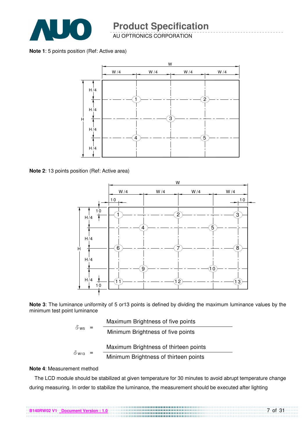

AU OPTRONICS CORPORATION

**Note 1**: 5 points position (Ref: Active area)



**Note 2**: 13 points position (Ref: Active area)



**Note 3**: The luminance uniformity of 5 or13 points is defined by dividing the maximum luminance values by the minimum test point luminance

|              | Maximum Brightness of five points     |
|--------------|---------------------------------------|
| $0 \le 5$    | Minimum Brightness of five points     |
|              | Maximum Brightness of thirteen points |
| $\delta$ W13 | Minimum Brightness of thirteen points |

#### **Note 4**: Measurement method

The LCD module should be stabilized at given temperature for 30 minutes to avoid abrupt temperature change during measuring. In order to stabilize the luminance, the measurement should be executed after lighting

7 of 31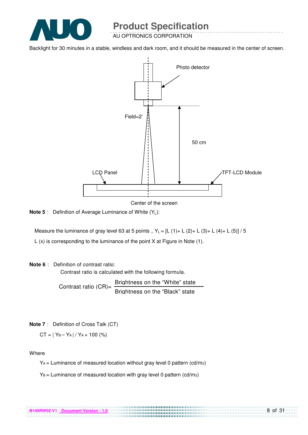

AU OPTRONICS CORPORATION

Backlight for 30 minutes in a stable, windless and dark room, and it should be measured in the center of screen.



Center of the screen

**Note 5** : Definition of Average Luminance of White (Y<sub>1</sub>):

Measure the luminance of gray level 63 at 5 points,  $Y_L = [L (1) + L (2) + L (3) + L (4) + L (5)] / 5$ 

L (x) is corresponding to the luminance of the point X at Figure in Note (1).

#### **Note 6** Definition of contrast ratio:

Contrast ratio is calculated with the following formula.

Contrast ratio  $(CR)$ =  $\frac{\text{Brichtness on the "White" state}}{\text{Brichtnes}}$ Brightness on the "Black" state

**Note 7** Definition of Cross Talk (CT)

 $CT = |Y_B - Y_A| / Y_A \times 100$  (%)

Where

YA = Luminance of measured location without gray level 0 pattern (cd/m2)

................................

 $Y_B$  = Luminance of measured location with gray level 0 pattern (cd/m2)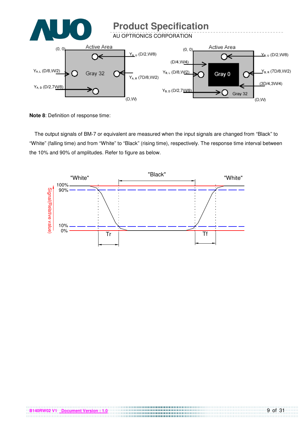

**Note 8**: Definition of response time:

The output signals of BM-7 or equivalent are measured when the input signals are changed from "Black" to "White" (falling time) and from "White" to "Black" (rising time), respectively. The response time interval between the 10% and 90% of amplitudes. Refer to figure as below.



. . . . . . . . . . . . . . . . . . . .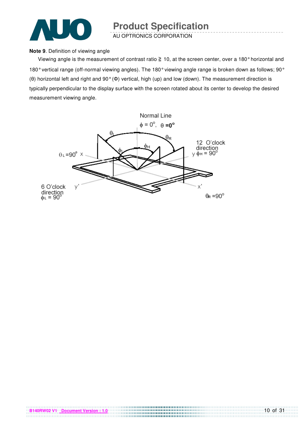

AU OPTRONICS CORPORATION

#### **Note 9**. Definition of viewing angle

Viewing angle is the measurement of contrast ratio  $\geq 10$ , at the screen center, over a 180° horizontal and 180° vertical range (off-normal viewing angles). The 180° viewing angle range is broken down as follows; 90° (θ) horizontal left and right and 90° (Φ) vertical, high (up) and low (down). The measurement direction is typically perpendicular to the display surface with the screen rotated about its center to develop the desired measurement viewing angle.

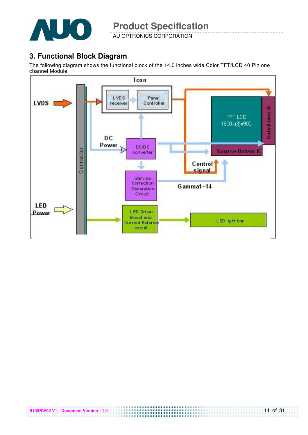

AU OPTRONICS CORPORATION

## **3. Functional Block Diagram**

The following diagram shows the functional block of the 14.0 inches wide Color TFT/LCD 40 Pin one channel Module

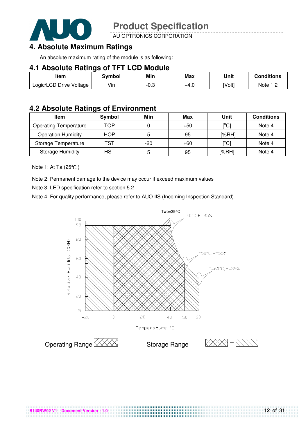

AU OPTRONICS CORPORATION

# **4. Absolute Maximum Ratings**

An absolute maximum rating of the module is as following:

#### **4.1 Absolute Ratings of TFT LCD Module**

| Item                    | Svmbol | Min  | Max  | Unit   | Conditions |
|-------------------------|--------|------|------|--------|------------|
| Logic/LCD Drive Voltage | Vin    | -0.3 | +4.∪ | [Volt] | Note 1 C   |

### **4.2 Absolute Ratings of Environment**

| <b>Item</b>                  | Symbol     | Min   | Max   | Unit                                    | <b>Conditions</b> |
|------------------------------|------------|-------|-------|-----------------------------------------|-------------------|
| <b>Operating Temperature</b> | TOP        |       | $+50$ | $\mathsf{I}^\circ\mathsf{C} \mathsf{I}$ | Note 4            |
| <b>Operation Humidity</b>    | <b>HOP</b> |       | 95    | [%RH]                                   | Note 4            |
| Storage Temperature          | TST        | $-20$ | $+60$ | $\mathsf{I}^\circ\mathsf{C} \mathsf{I}$ | Note 4            |
| <b>Storage Humidity</b>      | HST        | b     | 95    | [%RH]                                   | Note 4            |

Note 1: At Ta (25°C)

Note 2: Permanent damage to the device may occur if exceed maximum values

Note 3: LED specification refer to section 5.2

Note 4: For quality performance, please refer to AUO IIS (Incoming Inspection Standard).



..................................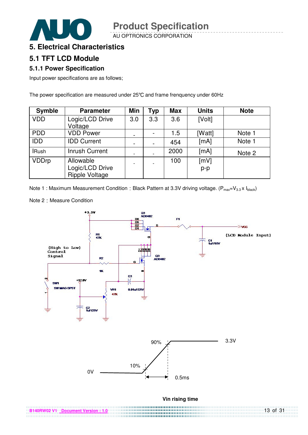AU OPTRONICS CORPORATION



### **5.1 TFT LCD Module**

#### **5.1.1 Power Specification**

Input power specifications are as follows;

The power specification are measured under 25°C and frame frenquency under 60Hz

| <b>Symble</b> | <b>Parameter</b>      | Min | <b>Typ</b> | <b>Max</b> | <b>Units</b> | <b>Note</b> |
|---------------|-----------------------|-----|------------|------------|--------------|-------------|
| <b>VDD</b>    | Logic/LCD Drive       | 3.0 | 3.3        | 3.6        | [Volt]       |             |
|               | Voltage               |     |            |            |              |             |
| <b>PDD</b>    | <b>VDD Power</b>      |     |            | 1.5        | [Watt]       | Note 1      |
| <b>IDD</b>    | <b>IDD Current</b>    |     |            | 454        | [mA]         | Note 1      |
| <b>IRush</b>  | <b>Inrush Current</b> |     |            | 2000       | [mA]         | Note 2      |
| <b>VDDrp</b>  | Allowable             |     |            | 100        | [mV]         |             |
|               | Logic/LCD Drive       |     |            |            | p-p          |             |
|               | <b>Ripple Voltage</b> |     |            |            |              |             |

Note 1 : Maximum Measurement Condition : Black Pattern at 3.3V driving voltage. ( $P_{max}=V_{3.3} \times I_{black}$ )

Note 2 Measure Condition

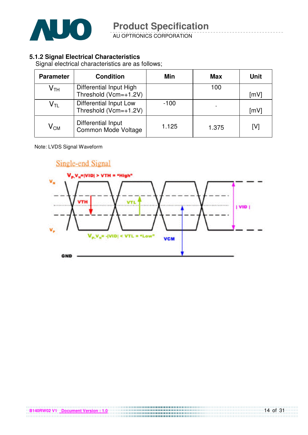

AU OPTRONICS CORPORATION

#### **5.1.2 Signal Electrical Characteristics**

Signal electrical characteristics are as follows;

| <b>Parameter</b>           | <b>Condition</b>                                     | Min    | <b>Max</b> | <b>Unit</b> |
|----------------------------|------------------------------------------------------|--------|------------|-------------|
| $\mathsf{V}_{\mathsf{TH}}$ | Differential Input High<br>Threshold ( $Vcm=+1.2V$ ) |        | 100        | [mV]        |
| $\mathsf{V}_{\mathsf{TL}}$ | Differential Input Low<br>Threshold (Vcm=+1.2V)      | $-100$ |            | [mV]        |
| $\mathsf{V}_{\mathsf{CM}}$ | Differential Input<br>Common Mode Voltage            | 1.125  | 1.375      | [V]         |

#### Note: LVDS Signal Waveform

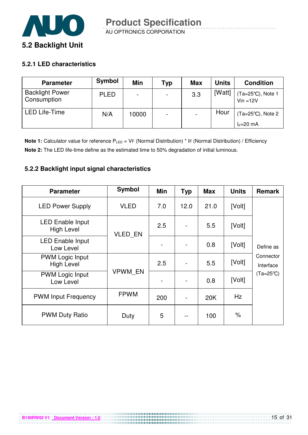

#### **5.2.1 LED characteristics**

| <b>Parameter</b>                      | Symbol      | Min   | Typ                      | <b>Max</b> | <b>Units</b> | <b>Condition</b>                 |
|---------------------------------------|-------------|-------|--------------------------|------------|--------------|----------------------------------|
| <b>Backlight Power</b><br>Consumption | <b>PLED</b> |       | $\overline{\phantom{0}}$ | 3.3        | [Watt]       | (Ta=25°C), Note 1<br>$Vin = 12V$ |
| <b>LED Life-Time</b>                  | N/A         | 10000 | $\overline{\phantom{0}}$ |            | Hour         | (Ta=25°C), Note 2<br>$I_F=20$ mA |

**Note 1:** Calculator value for reference P<sub>LED</sub> = VF (Normal Distribution) \* IF (Normal Distribution) / Efficiency **Note 2:** The LED life-time define as the estimated time to 50% degradation of initial luminous.

#### **5.2.2 Backlight input signal characteristics**

| <b>Parameter</b>                             | <b>Symbol</b>  | Min | <b>Typ</b> | <b>Max</b> | <b>Units</b> | <b>Remark</b>          |
|----------------------------------------------|----------------|-----|------------|------------|--------------|------------------------|
| <b>LED Power Supply</b>                      | <b>VLED</b>    | 7.0 | 12.0       | 21.0       | [Volt]       |                        |
| <b>LED Enable Input</b><br><b>High Level</b> | <b>VLED EN</b> | 2.5 |            | 5.5        | [Volt]       |                        |
| <b>LED Enable Input</b><br>Low Level         |                |     |            | 0.8        | [Volt]       | Define as              |
| <b>PWM Logic Input</b><br><b>High Level</b>  | <b>VPWM EN</b> | 2.5 |            | 5.5        | [Volt]       | Connector<br>Interface |
| <b>PWM Logic Input</b><br>Low Level          |                |     |            | 0.8        | [Volt]       | (Ta=25°C)              |
| <b>PWM Input Frequency</b>                   | <b>FPWM</b>    | 200 |            | 20K        | Hz           |                        |
| <b>PWM Duty Ratio</b>                        | Duty           | 5   |            | 100        | $\%$         |                        |

**B140RW02 V1** Document Version : 1.0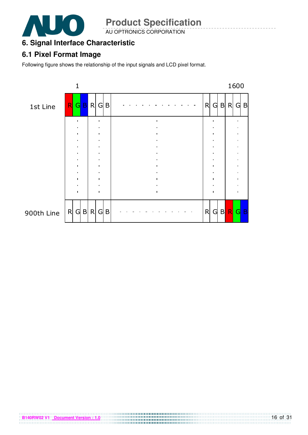

AU OPTRONICS CORPORATION

# **6. Signal Interface Characteristic**

# **6.1 Pixel Format Image**

Following figure shows the relationship of the input signals and LCD pixel format.

**B140RW02 V1** Document Version : 1.0

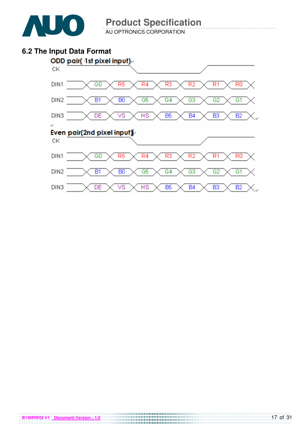

AU OPTRONICS CORPORATION

### **6.2 The Input Data Format**

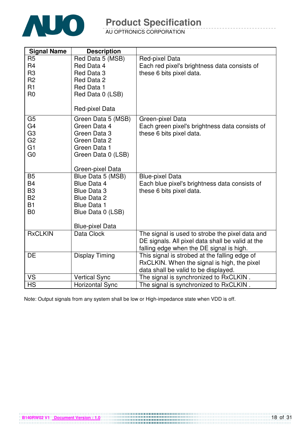

AU OPTRONICS CORPORATION

| <b>Signal Name</b>                                                                                       | <b>Description</b>                                                                                                                         |                                                                                                                                                 |
|----------------------------------------------------------------------------------------------------------|--------------------------------------------------------------------------------------------------------------------------------------------|-------------------------------------------------------------------------------------------------------------------------------------------------|
| R <sub>5</sub><br>R <sub>4</sub><br>R <sub>3</sub><br>R <sub>2</sub><br>R1<br>R <sub>0</sub>             | Red Data 5 (MSB)<br>Red Data 4<br>Red Data 3<br>Red Data 2<br>Red Data 1<br>Red Data 0 (LSB)<br>Red-pixel Data                             | Red-pixel Data<br>Each red pixel's brightness data consists of<br>these 6 bits pixel data.                                                      |
| G <sub>5</sub><br>G <sub>4</sub><br>G <sub>3</sub><br>G <sub>2</sub><br>G <sub>1</sub><br>G <sub>0</sub> | Green Data 5 (MSB)<br>Green Data 4<br>Green Data 3<br>Green Data 2<br>Green Data 1<br>Green Data 0 (LSB)<br>Green-pixel Data               | Green-pixel Data<br>Each green pixel's brightness data consists of<br>these 6 bits pixel data.                                                  |
| <b>B5</b><br><b>B4</b><br>B <sub>3</sub><br><b>B2</b><br><b>B1</b><br>B <sub>0</sub>                     | Blue Data 5 (MSB)<br>Blue Data 4<br><b>Blue Data 3</b><br>Blue Data 2<br><b>Blue Data 1</b><br>Blue Data 0 (LSB)<br><b>Blue-pixel Data</b> | <b>Blue-pixel Data</b><br>Each blue pixel's brightness data consists of<br>these 6 bits pixel data.                                             |
| <b>RxCLKIN</b>                                                                                           | Data Clock                                                                                                                                 | The signal is used to strobe the pixel data and<br>DE signals. All pixel data shall be valid at the<br>falling edge when the DE signal is high. |
| DE                                                                                                       | Display Timing                                                                                                                             | This signal is strobed at the falling edge of<br>RxCLKIN. When the signal is high, the pixel<br>data shall be valid to be displayed.            |
| VS                                                                                                       | <b>Vertical Sync</b>                                                                                                                       | The signal is synchronized to RxCLKIN.                                                                                                          |
| <b>HS</b>                                                                                                | <b>Horizontal Sync</b>                                                                                                                     | The signal is synchronized to RxCLKIN.                                                                                                          |

Note: Output signals from any system shall be low or High-impedance state when VDD is off.

**B140RW02 V1** Document Version : 1.0<br>**B140RW02 V1** Document Version : 1.0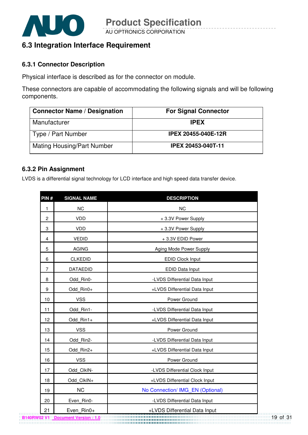

## **6.3 Integration Interface Requirement**

#### **6.3.1 Connector Description**

Physical interface is described as for the connector on module.

These connectors are capable of accommodating the following signals and will be following components.

| <b>Connector Name / Designation</b> | <b>For Signal Connector</b> |
|-------------------------------------|-----------------------------|
| Manufacturer                        | <b>IPEX</b>                 |
| Type / Part Number                  | <b>IPEX 20455-040E-12R</b>  |
| <b>Mating Housing/Part Number</b>   | IPEX 20453-040T-11          |

#### **6.3.2 Pin Assignment**

LVDS is a differential signal technology for LCD interface and high speed data transfer device.

| PIN#           | <b>SIGNAL NAME</b> | <b>DESCRIPTION</b>               |
|----------------|--------------------|----------------------------------|
| $\mathbf{1}$   | <b>NC</b>          | <b>NC</b>                        |
| $\overline{c}$ | <b>VDD</b>         | +3.3V Power Supply               |
| 3              | <b>VDD</b>         | +3.3V Power Supply               |
| $\overline{4}$ | <b>VEDID</b>       | +3.3V EDID Power                 |
| 5              | <b>AGING</b>       | Aging Mode Power Supply          |
| 6              | <b>CLKEDID</b>     | EDID Clock Input                 |
| 7              | <b>DATAEDID</b>    | EDID Data Input                  |
| 8              | Odd Rin0-          | -LVDS Differential Data Input    |
| 9              | Odd Rin0+          | +LVDS Differential Data Input    |
| 10             | <b>VSS</b>         | Power Ground                     |
| 11             | Odd Rin1-          | -LVDS Differential Data Input    |
| 12             | Odd Rin1+          | +LVDS Differential Data Input    |
| 13             | <b>VSS</b>         | Power Ground                     |
| 14             | Odd Rin2-          | -LVDS Differential Data Input    |
| 15             | Odd Rin2+          | +LVDS Differential Data Input    |
| 16             | <b>VSS</b>         | Power Ground                     |
| 17             | Odd ClkIN-         | -LVDS Differential Clock Input   |
| 18             | Odd ClkIN+         | +LVDS Differential Clock Input   |
| 19             | <b>NC</b>          | No Connection/ IMG_EN (Optional) |
| 20             | Even Rin0-         | -LVDS Differential Data Input    |
| 21             | Even Rin0+         | +LVDS Differential Data Input    |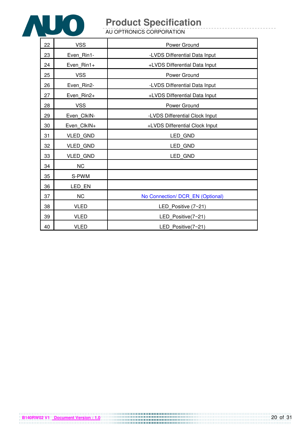

AU OPTRONICS CORPORATION

| 22 | <b>VSS</b>      | Power Ground                     |
|----|-----------------|----------------------------------|
| 23 | Even Rin1-      | -LVDS Differential Data Input    |
| 24 | Even Rin1+      | +LVDS Differential Data Input    |
| 25 | <b>VSS</b>      | Power Ground                     |
| 26 | Even Rin2-      | -LVDS Differential Data Input    |
| 27 | Even Rin2+      | +LVDS Differential Data Input    |
| 28 | <b>VSS</b>      | Power Ground                     |
| 29 | Even_ClkIN-     | -LVDS Differential Clock Input   |
| 30 | Even_ClkIN+     | +LVDS Differential Clock Input   |
| 31 | <b>VLED GND</b> | LED_GND                          |
| 32 | <b>VLED GND</b> | LED GND                          |
| 33 | <b>VLED GND</b> | LED GND                          |
| 34 | <b>NC</b>       |                                  |
| 35 | S-PWM           |                                  |
| 36 | LED EN          |                                  |
| 37 | <b>NC</b>       | No Connection/ DCR_EN (Optional) |
| 38 | <b>VLED</b>     | LED_Positive (7~21)              |
| 39 | <b>VLED</b>     | LED_Positive(7~21)               |
| 40 | <b>VLED</b>     | LED Positive(7~21)               |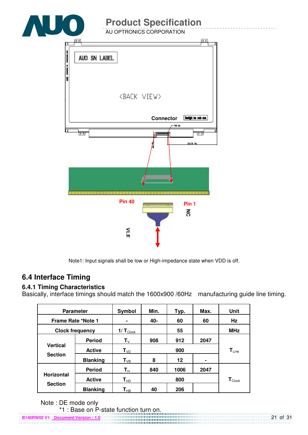

Note1: Input signals shall be low or High-impedance state when VDD is off.

# **6.4 Interface Timing**

#### **6.4.1 Timing Characteristics**

Basically, interface timings should match the 1600x900 /60Hz manufacturing guide line timing.

| <b>Parameter</b>       |                 | Symbol                        | Min. | Typ.                         | Max. | Unit                        |
|------------------------|-----------------|-------------------------------|------|------------------------------|------|-----------------------------|
| Frame Rate *Note 1     |                 |                               | 40-  | 60                           | 60   | Hz                          |
| <b>Clock frequency</b> |                 | $1/\mathbf{T}_{\text{Clock}}$ |      | 55                           |      | <b>MHz</b>                  |
|                        | <b>Period</b>   | $\mathbf{T}_{\mathsf{V}}$     | 908  | 912                          | 2047 |                             |
| <b>Vertical</b>        | <b>Active</b>   | $T_{VD}$                      |      | $\mathsf{T}_{\mathsf{Line}}$ |      |                             |
| <b>Section</b>         | <b>Blanking</b> | $T_{VB}$                      | 8    | 12                           | ۰    |                             |
|                        | <b>Period</b>   | $\mathsf{T}_\mathsf{H}$       | 840  | 1006                         | 2047 |                             |
| <b>Horizontal</b>      | <b>Active</b>   | $T_{HD}$                      |      | 800                          |      | $\mathbf{T}_{\text{Clock}}$ |
| <b>Section</b>         | <b>Blanking</b> | $\textsf{T}_{\sf HB}$         | 40   | 206                          |      |                             |

Note : DE mode only

**B140RW02 V1 Document Version : 1.0** \*1 : Base on P-state function turn on.<br>
Southern Version : 1.0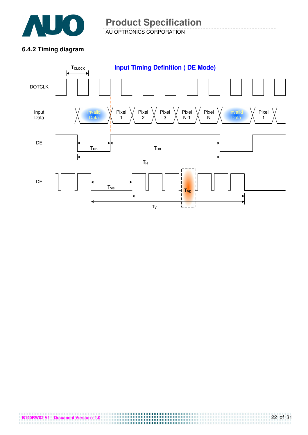

AU OPTRONICS CORPORATION **Product Specification** 

#### **6.4.2 Timing diagram**



**B140RW02 V1 Document Version : 1.0 CONSUMER 20140RW02 V1 Document Version : 1.0**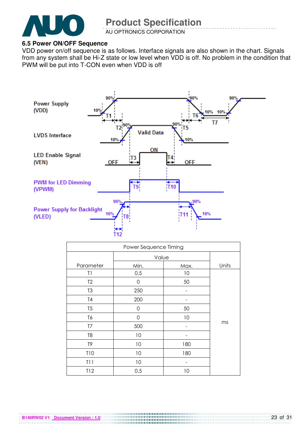

AU OPTRONICS CORPORATION

#### **6.5 Power ON/OFF Sequence**

**B140RW02 V1 Document Version : 1.0**

VDD power on/off sequence is as follows. Interface signals are also shown in the chart. Signals from any system shall be Hi-Z state or low level when VDD is off. No problem in the condition that PWM will be put into T-CON even when VDD is off



| Power Sequence Timing |             |      |       |  |  |
|-----------------------|-------------|------|-------|--|--|
|                       | Value       |      |       |  |  |
| Parameter             | Min.        | Max. | Units |  |  |
| T1                    | 0.5         | 10   |       |  |  |
| T <sub>2</sub>        | 0           | 50   |       |  |  |
| T <sub>3</sub>        | 250         |      |       |  |  |
| T4                    | 200         |      |       |  |  |
| T <sub>5</sub>        | 0           | 50   |       |  |  |
| T6                    | $\mathbf 0$ | 10   |       |  |  |
| T7                    | 500         |      | ms    |  |  |
| T <sub>8</sub>        | 10          |      |       |  |  |
| T9                    | 10          | 180  |       |  |  |
| T10                   | 10          | 180  |       |  |  |
| T11                   | 10          |      |       |  |  |
| T12                   | 0.5         | 10   |       |  |  |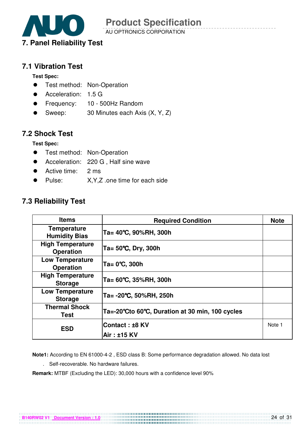

AU OPTRONICS CORPORATION

### **7.1 Vibration Test**

**Test Spec:** 

- **•** Test method: Non-Operation
- Acceleration: 1.5 G
- Frequency: 10 500Hz Random
- Sweep: 30 Minutes each Axis (X, Y, Z)

### **7.2 Shock Test**

**Test Spec:** 

- **•** Test method: Non-Operation
- Acceleration: 220 G , Half sine wave
- Active time: 2 ms
- Pulse: X,Y,Z .one time for each side

## **7.3 Reliability Test**

| <b>Items</b>                                | <b>Required Condition</b>                       | <b>Note</b> |
|---------------------------------------------|-------------------------------------------------|-------------|
| <b>Temperature</b><br><b>Humidity Bias</b>  | Ta= 40°C, 90%RH, 300h                           |             |
| <b>High Temperature</b><br><b>Operation</b> | Ta= 50°C, Dry, 300h                             |             |
| <b>Low Temperature</b><br><b>Operation</b>  | Ta= 0℃, 300h                                    |             |
| <b>High Temperature</b><br><b>Storage</b>   | Ta= 60℃, 35%RH, 300h                            |             |
| <b>Low Temperature</b><br><b>Storage</b>    | Ta= -20℃, 50%RH, 250h                           |             |
| <b>Thermal Shock</b><br>Test                | Ta=-20°Cto 60°C, Duration at 30 min, 100 cycles |             |
| <b>ESD</b>                                  | Contact : ±8 KV                                 | Note 1      |
|                                             | Air: ±15 KV                                     |             |

**Note1:** According to EN 61000-4-2 , ESD class B: Some performance degradation allowed. No data lost

. Self-recoverable. No hardware failures.

**Remark:** MTBF (Excluding the LED): 30,000 hours with a confidence level 90%

**B140RW02 V1 Document Version : 1.0**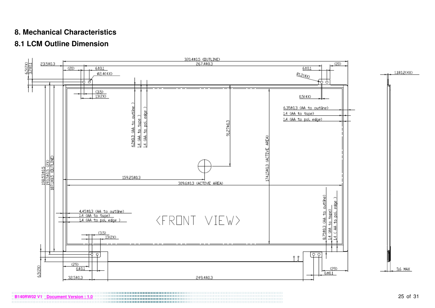### **8. Mechanical Characteristics**

# **8.1 LCM Outline Dimension**



**B140RW02 V1 Document Version : 1.0** 25 of 31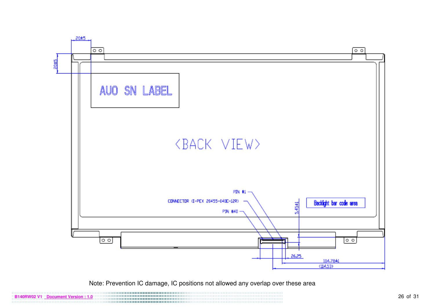

Note: Prevention IC damage, IC positions not allowed any overlap over these area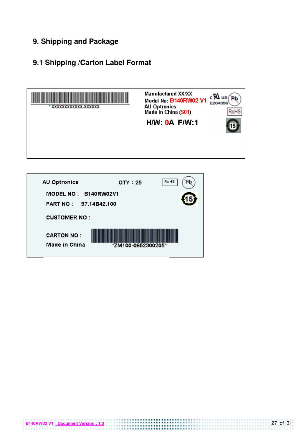## **9. Shipping and Package**

# **9.1 Shipping /Carton Label Format**



| <b>AU Optronics</b>                           | $QTY = 25$         | RoHS |
|-----------------------------------------------|--------------------|------|
| MODEL NO: B140RW02V1<br>PART NO: 97.14B42.100 |                    |      |
| <b>CUSTOMER NO:</b>                           |                    |      |
| <b>CARTON NO:</b><br>Made in China            | *ZM100-0652300205* |      |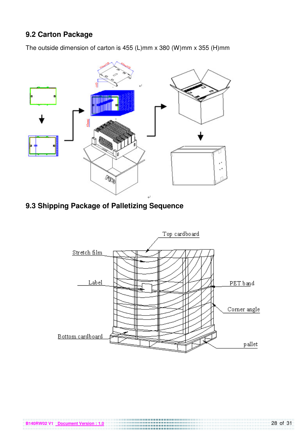# **9.2 Carton Package**

The outside dimension of carton is 455 (L)mm x 380 (W)mm x 355 (H)mm



**9.3 Shipping Package of Palletizing Sequence** 

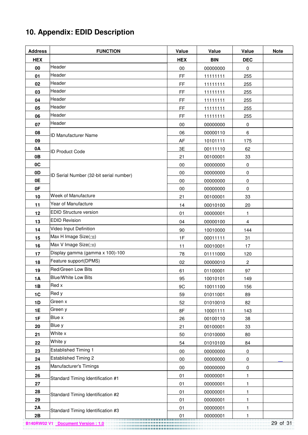# **10. Appendix: EDID Description**

| <b>Address</b> | <b>FUNCTION</b>                         | Value      | Value      | Value          | <b>Note</b> |
|----------------|-----------------------------------------|------------|------------|----------------|-------------|
| <b>HEX</b>     |                                         | <b>HEX</b> | <b>BIN</b> | <b>DEC</b>     |             |
| 00             | Header                                  | $00\,$     | 00000000   | 0              |             |
| 01             | Header                                  | FF         | 11111111   | 255            |             |
| 02             | Header                                  | FF         | 11111111   | 255            |             |
| 03             | Header                                  | FF         | 11111111   | 255            |             |
| 04             | Header                                  | FF         | 11111111   | 255            |             |
| 05             | Header                                  | FF         | 11111111   | 255            |             |
| 06             | Header                                  | FF         | 11111111   | 255            |             |
| 07             | Header                                  | 00         | 00000000   | 0              |             |
| 08             | <b>ID Manufacturer Name</b>             | 06         | 00000110   | 6              |             |
| 09             |                                         | AF         | 10101111   | 175            |             |
| 0A             | <b>ID Product Code</b>                  | 3E         | 00111110   | 62             |             |
| 0B             |                                         | 21         | 00100001   | 33             |             |
| 0C             |                                         | 00         | 00000000   | $\pmb{0}$      |             |
| 0 <sub>D</sub> | ID Serial Number (32-bit serial number) | 00         | 00000000   | $\pmb{0}$      |             |
| 0E             |                                         | $00\,$     | 00000000   | 0              |             |
| 0F             |                                         | $00\,$     | 00000000   | $\pmb{0}$      |             |
| 10             | Week of Manufacture                     | 21         | 00100001   | 33             |             |
| 11             | Year of Manufacture                     | 14         | 00010100   | 20             |             |
| 12             | <b>EDID Structure version</b>           | 01         | 00000001   | 1              |             |
| 13             | <b>EDID Revision</b>                    | 04         | 00000100   | $\overline{4}$ |             |
| 14             | Video Input Definition                  | 90         | 10010000   | 144            |             |
| 15             | Max H Image Size(cm)                    | 1F         | 00011111   | 31             |             |
| 16             | Max V Image Size(cm)                    | 11         | 00010001   | 17             |             |
| 17             | Display gamma (gamma x 100)-100         | 78         | 01111000   | 120            |             |
| 18             | Feature support(DPMS)                   | 02         | 00000010   | $\overline{c}$ |             |
| 19             | Red/Green Low Bits                      | 61         | 01100001   | 97             |             |
| 1A             | <b>Blue/White Low Bits</b>              | 95         | 10010101   | 149            |             |
| 1B             | Red x                                   | 9C         | 10011100   | 156            |             |
| 1C             | Red y                                   | 59         | 01011001   | 89             |             |
| 1D             | Green x                                 | 52         | 01010010   | 82             |             |
| 1E             | Green y                                 | 8F         | 10001111   | 143            |             |
| 1F             | Blue x                                  | 26         | 00100110   | 38             |             |
| 20             | Blue y                                  | 21         | 00100001   | 33             |             |
| 21             | White x                                 | 50         | 01010000   | 80             |             |
| 22             | White y                                 | 54         | 01010100   | 84             |             |
| 23             | <b>Established Timing 1</b>             | $00\,$     | 00000000   | 0              |             |
| 24             | <b>Established Timing 2</b>             | $00\,$     | 00000000   | 0              |             |
| 25             | Manufacturer's Timings                  | $00\,$     | 00000000   | $\pmb{0}$      |             |
| 26             | Standard Timing Identification #1       | 01         | 00000001   | 1              |             |
| 27             |                                         | 01         | 00000001   | 1              |             |
| 28             | Standard Timing Identification #2       | 01         | 00000001   | 1              |             |
| 29             |                                         | 01         | 00000001   | 1              |             |
| 2A             | Standard Timing Identification #3       | 01         | 00000001   | 1              |             |
| 2B             |                                         | 01         | 00000001   | 1              |             |

**B140RW02 V1 Document Version : 1.0** 29 of 31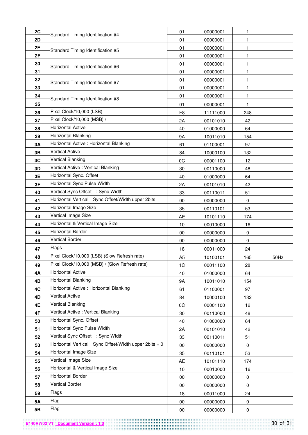| 2C        |                                                       | 01             | 00000001 | 1         |      |
|-----------|-------------------------------------------------------|----------------|----------|-----------|------|
| 2D        | Standard Timing Identification #4                     | 01             | 00000001 | 1         |      |
| 2E        |                                                       | 01             | 00000001 | 1         |      |
| 2F        | Standard Timing Identification #5                     | 01             | 00000001 | 1         |      |
| 30        |                                                       | 01             | 00000001 | 1         |      |
| 31        | Standard Timing Identification #6                     | 01             | 00000001 | 1         |      |
| 32        |                                                       | 01             | 00000001 |           |      |
| 33        | Standard Timing Identification #7                     | 01             | 00000001 | 1         |      |
| 34        |                                                       | 01             | 00000001 | 1         |      |
| 35        | Standard Timing Identification #8                     | 01             | 00000001 | 1         |      |
| 36        | Pixel Clock/10,000 (LSB)                              | F <sub>8</sub> | 11111000 | 248       |      |
| 37        | Pixel Clock/10,000 (MSB) /                            | 2A             | 00101010 | 42        |      |
| 38        | <b>Horizontal Active</b>                              | 40             | 01000000 | 64        |      |
| 39        | <b>Horizontal Blanking</b>                            | 9A             | 10011010 | 154       |      |
| 3A        | Horizontal Active : Horizontal Blanking               | 61             | 01100001 | 97        |      |
| 3B        | <b>Vertical Active</b>                                | 84             | 10000100 | 132       |      |
| 3C        | <b>Vertical Blanking</b>                              | 0C             | 00001100 | 12        |      |
| 3D        | Vertical Active: Vertical Blanking                    | 30             | 00110000 | 48        |      |
| 3E        | Horizontal Sync. Offset                               | 40             | 01000000 | 64        |      |
| 3F        | Horizontal Sync Pulse Width                           | 2A             | 00101010 | 42        |      |
| 40        | Vertical Sync Offset : Sync Width                     | 33             | 00110011 | 51        |      |
| 41        | Horizontal Vertical Sync Offset/Width upper 2bits     | 00             | 00000000 | 0         |      |
| 42        | Horizontal Image Size                                 | 35             | 00110101 | 53        |      |
| 43        | Vertical Image Size                                   | AE             | 10101110 | 174       |      |
| 44        | Horizontal & Vertical Image Size                      | 10             | 00010000 | 16        |      |
| 45        | Horizontal Border                                     | $00\,$         | 00000000 | 0         |      |
| 46        | <b>Vertical Border</b>                                | 00             | 00000000 | 0         |      |
| 47        | Flags                                                 | 18             | 00011000 | 24        |      |
| 48        | Pixel Clock/10,000 (LSB) (Slow Refresh rate)          | A <sub>5</sub> | 10100101 | 165       | 50Hz |
| 49        | Pixel Clock/10,000 (MSB) / (Slow Refresh rate)        | 1C             | 00011100 | 28        |      |
| 4A        | <b>Horizontal Active</b>                              | 40             | 01000000 | 64        |      |
| 4B        | Horizontal Blanking                                   | 9A             | 10011010 | 154       |      |
| 4C        | Horizontal Active : Horizontal Blanking               | 61             | 01100001 | 97        |      |
| 4D        | <b>Vertical Active</b>                                | 84             | 10000100 | 132       |      |
| 4E        | <b>Vertical Blanking</b>                              | 0C             | 00001100 | 12        |      |
| 4F        | Vertical Active: Vertical Blanking                    | 30             | 00110000 | 48        |      |
| 50        | Horizontal Sync. Offset                               | 40             | 01000000 | 64        |      |
| 51        | Horizontal Sync Pulse Width                           | 2A             | 00101010 | 42        |      |
| 52        | Vertical Sync Offset : Sync Width                     | 33             | 00110011 | 51        |      |
| 53        | Horizontal Vertical Sync Offset/Width upper 2bits = 0 | $00\,$         | 00000000 | 0         |      |
| 54        | Horizontal Image Size                                 | 35             | 00110101 | 53        |      |
| 55        | Vertical Image Size                                   | AE             | 10101110 | 174       |      |
| 56        | Horizontal & Vertical Image Size                      | 10             | 00010000 | 16        |      |
| 57        | <b>Horizontal Border</b>                              | $00\,$         | 00000000 | 0         |      |
| 58        | <b>Vertical Border</b>                                | $00\,$         | 00000000 | 0         |      |
| 59        | Flags                                                 | 18             | 00011000 | 24        |      |
| <b>5A</b> | Flag                                                  | $00\,$         | 00000000 | 0         |      |
| 5B        | Flag                                                  | $00\,$         | 00000000 | $\pmb{0}$ |      |